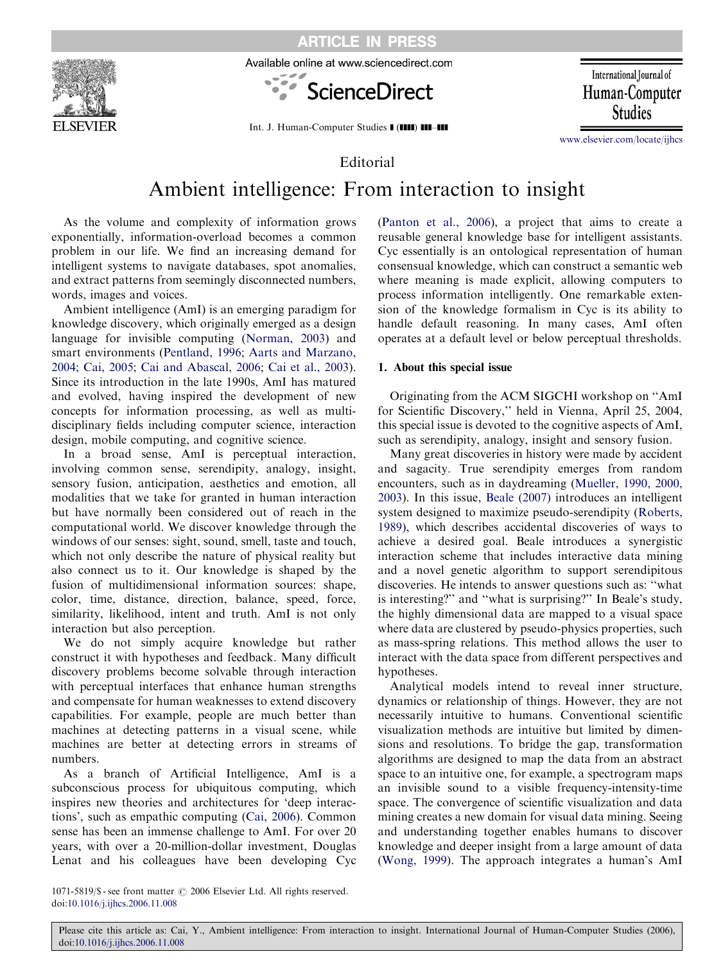

ARTICLE IN PRESS

Available online at www.sciencedirect.com



International Journal of Human-Computer **Studies** 

Int. J. Human-Computer Studies I (IIII) III-III

[www.elsevier.com/locate/ijhcs](www.elsevier.com/locater/ijhcs)

## Editorial

# Ambient intelligence: From interaction to insight

As the volume and complexity of information grows exponentially, information-overload becomes a common problem in our life. We find an increasing demand for intelligent systems to navigate databases, spot anomalies, and extract patterns from seemingly disconnected numbers, words, images and voices.

Ambient intelligence (AmI) is an emerging paradigm for knowledge discovery, which originally emerged as a design language for invisible computing ([Norman, 2003\)](#page-1-0) and smart environments ([Pentland, 1996;](#page-1-0) [Aarts and Marzano,](#page-1-0) [2004](#page-1-0); [Cai, 2005;](#page-1-0) [Cai and Abascal, 2006;](#page-1-0) [Cai et al., 2003\)](#page-1-0). Since its introduction in the late 1990s, AmI has matured and evolved, having inspired the development of new concepts for information processing, as well as multidisciplinary fields including computer science, interaction design, mobile computing, and cognitive science.

In a broad sense, AmI is perceptual interaction, involving common sense, serendipity, analogy, insight, sensory fusion, anticipation, aesthetics and emotion, all modalities that we take for granted in human interaction but have normally been considered out of reach in the computational world. We discover knowledge through the windows of our senses: sight, sound, smell, taste and touch, which not only describe the nature of physical reality but also connect us to it. Our knowledge is shaped by the fusion of multidimensional information sources: shape, color, time, distance, direction, balance, speed, force, similarity, likelihood, intent and truth. AmI is not only interaction but also perception.

We do not simply acquire knowledge but rather construct it with hypotheses and feedback. Many difficult discovery problems become solvable through interaction with perceptual interfaces that enhance human strengths and compensate for human weaknesses to extend discovery capabilities. For example, people are much better than machines at detecting patterns in a visual scene, while machines are better at detecting errors in streams of numbers.

As a branch of Artificial Intelligence, AmI is a subconscious process for ubiquitous computing, which inspires new theories and architectures for 'deep interactions', such as empathic computing ([Cai, 2006\)](#page-1-0). Common sense has been an immense challenge to AmI. For over 20 years, with over a 20-million-dollar investment, Douglas Lenat and his colleagues have been developing Cyc

 $1071-5819/\$$  - see front matter  $\odot$  2006 Elsevier Ltd. All rights reserved. doi:[10.1016/j.ijhcs.2006.11.008](dx.doi.org/10.1016/j.ijhcs.2006.11.008)

([Panton et al., 2006](#page-1-0)), a project that aims to create a reusable general knowledge base for intelligent assistants. Cyc essentially is an ontological representation of human consensual knowledge, which can construct a semantic web where meaning is made explicit, allowing computers to process information intelligently. One remarkable extension of the knowledge formalism in Cyc is its ability to handle default reasoning. In many cases, AmI often operates at a default level or below perceptual thresholds.

### 1. About this special issue

Originating from the ACM SIGCHI workshop on ''AmI for Scientific Discovery,'' held in Vienna, April 25, 2004, this special issue is devoted to the cognitive aspects of AmI, such as serendipity, analogy, insight and sensory fusion.

Many great discoveries in history were made by accident and sagacity. True serendipity emerges from random encounters, such as in daydreaming ([Mueller, 1990, 2000,](#page-1-0) [2003](#page-1-0)). In this issue, [Beale \(2007\)](#page-1-0) introduces an intelligent system designed to maximize pseudo-serendipity ([Roberts,](#page-1-0) [1989](#page-1-0)), which describes accidental discoveries of ways to achieve a desired goal. Beale introduces a synergistic interaction scheme that includes interactive data mining and a novel genetic algorithm to support serendipitous discoveries. He intends to answer questions such as: ''what is interesting?'' and ''what is surprising?'' In Beale's study, the highly dimensional data are mapped to a visual space where data are clustered by pseudo-physics properties, such as mass-spring relations. This method allows the user to interact with the data space from different perspectives and hypotheses.

Analytical models intend to reveal inner structure, dynamics or relationship of things. However, they are not necessarily intuitive to humans. Conventional scientific visualization methods are intuitive but limited by dimensions and resolutions. To bridge the gap, transformation algorithms are designed to map the data from an abstract space to an intuitive one, for example, a spectrogram maps an invisible sound to a visible frequency-intensity-time space. The convergence of scientific visualization and data mining creates a new domain for visual data mining. Seeing and understanding together enables humans to discover knowledge and deeper insight from a large amount of data ([Wong, 1999](#page-1-0)). The approach integrates a human's AmI

Please cite this article as: Cai, Y., Ambient intelligence: From interaction to insight. International Journal of Human-Computer Studies (2006), doi:[10.1016/j.ijhcs.2006.11.008](dx.doi.org/10.1016/j.ijhcs.2006.11.008)